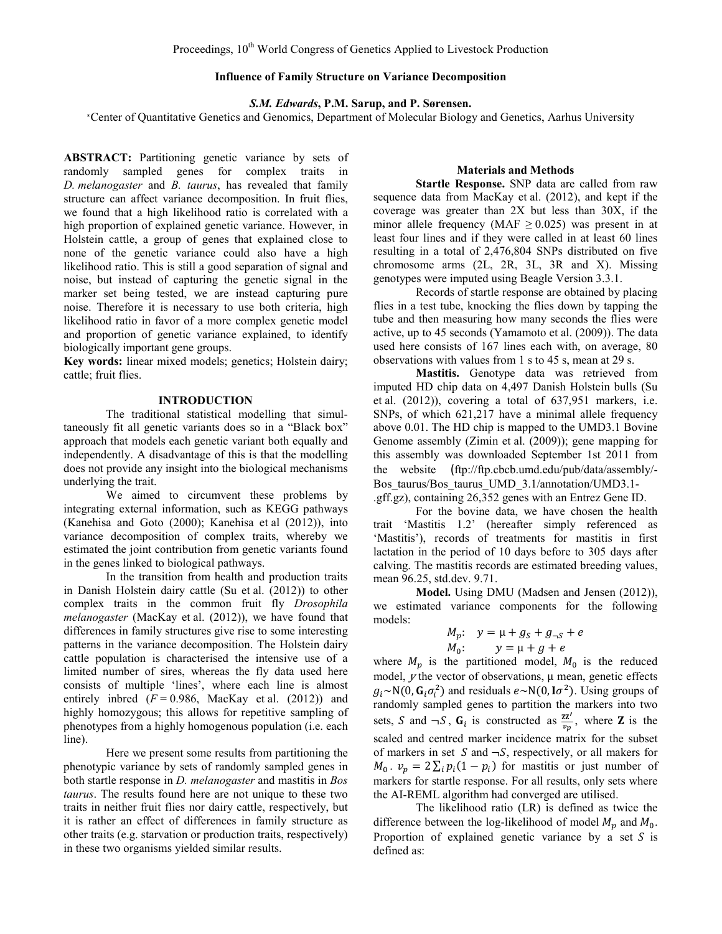# **Influence of Family Structure on Variance Decomposition**

*S.M. Edwards***, P.M. Sarup, and P. Sørensen.**

<sup>∗</sup>Center of Quantitative Genetics and Genomics, Department of Molecular Biology and Genetics, Aarhus University

**ABSTRACT:** Partitioning genetic variance by sets of randomly sampled genes for complex traits in *D. melanogaster* and *B. taurus*, has revealed that family structure can affect variance decomposition. In fruit flies, we found that a high likelihood ratio is correlated with a high proportion of explained genetic variance. However, in Holstein cattle, a group of genes that explained close to none of the genetic variance could also have a high likelihood ratio. This is still a good separation of signal and noise, but instead of capturing the genetic signal in the marker set being tested, we are instead capturing pure noise. Therefore it is necessary to use both criteria, high likelihood ratio in favor of a more complex genetic model and proportion of genetic variance explained, to identify biologically important gene groups.

**Key words:** linear mixed models; genetics; Holstein dairy; cattle; fruit flies.

## **INTRODUCTION**

The traditional statistical modelling that simultaneously fit all genetic variants does so in a "Black box" approach that models each genetic variant both equally and independently. A disadvantage of this is that the modelling does not provide any insight into the biological mechanisms underlying the trait.

We aimed to circumvent these problems by integrating external information, such as KEGG pathways (Kanehisa and Goto (2000); Kanehisa et al (2012)), into variance decomposition of complex traits, whereby we estimated the joint contribution from genetic variants found in the genes linked to biological pathways.

In the transition from health and production traits in Danish Holstein dairy cattle (Su et al. (2012)) to other complex traits in the common fruit fly *Drosophila melanogaster* (MacKay et al. (2012)), we have found that differences in family structures give rise to some interesting patterns in the variance decomposition. The Holstein dairy cattle population is characterised the intensive use of a limited number of sires, whereas the fly data used here consists of multiple 'lines', where each line is almost entirely inbred  $(F = 0.986$ , MacKay et al. (2012)) and highly homozygous; this allows for repetitive sampling of phenotypes from a highly homogenous population (i.e. each line).

Here we present some results from partitioning the phenotypic variance by sets of randomly sampled genes in both startle response in *D. melanogaster* and mastitis in *Bos taurus*. The results found here are not unique to these two traits in neither fruit flies nor dairy cattle, respectively, but it is rather an effect of differences in family structure as other traits (e.g. starvation or production traits, respectively) in these two organisms yielded similar results.

# **Materials and Methods**

**Startle Response.** SNP data are called from raw sequence data from MacKay et al. (2012), and kept if the coverage was greater than 2X but less than 30X, if the minor allele frequency (MAF  $\geq$  0.025) was present in at least four lines and if they were called in at least 60 lines resulting in a total of 2,476,804 SNPs distributed on five chromosome arms (2L, 2R, 3L, 3R and X). Missing genotypes were imputed using Beagle Version 3.3.1.

Records of startle response are obtained by placing flies in a test tube, knocking the flies down by tapping the tube and then measuring how many seconds the flies were active, up to 45 seconds (Yamamoto et al. (2009)). The data used here consists of 167 lines each with, on average, 80 observations with values from 1 s to 45 s, mean at 29 s.

**Mastitis.** Genotype data was retrieved from imputed HD chip data on 4,497 Danish Holstein bulls (Su et al. (2012)), covering a total of 637,951 markers, i.e. SNPs, of which 621,217 have a minimal allele frequency above 0.01. The HD chip is mapped to the UMD3.1 Bovine Genome assembly (Zimin et al. (2009)); gene mapping for this assembly was downloaded September 1st 2011 from the website (ftp://ftp.cbcb.umd.edu/pub/data/assembly/- Bos\_taurus/Bos\_taurus\_UMD\_3.1/annotation/UMD3.1-.gff.gz), containing 26,352 genes with an Entrez Gene ID.

For the bovine data, we have chosen the health trait 'Mastitis 1.2' (hereafter simply referenced as 'Mastitis'), records of treatments for mastitis in first lactation in the period of 10 days before to 305 days after calving. The mastitis records are estimated breeding values, mean 96.25, std.dev. 9.71.

**Model.** Using DMU (Madsen and Jensen (2012)), we estimated variance components for the following models:

$$
M_p: y = \mu + g_S + g_{\neg S} + e
$$
  

$$
M_0: y = \mu + g + e
$$

where  $M_p$  is the partitioned model,  $M_0$  is the reduced model,  $y$  the vector of observations,  $\mu$  mean, genetic effects  $g_i \sim N(0, G_i \sigma_i^2)$  and residuals  $e \sim N(0, I \sigma^2)$ . Using groups of randomly sampled genes to partition the markers into two sets, S and  $\neg S$ ,  $G_i$  is constructed as  $\frac{z z'}{v_p}$ , where Z is the scaled and centred marker incidence matrix for the subset of markers in set  $S$  and  $\neg S$ , respectively, or all makers for  $M_0$ .  $v_p = 2 \sum_i p_i (1 - p_i)$  for mastitis or just number of markers for startle response. For all results, only sets where the AI-REML algorithm had converged are utilised.

The likelihood ratio (LR) is defined as twice the difference between the log-likelihood of model  $M_p$  and  $M_0$ . Proportion of explained genetic variance by a set  $S$  is defined as: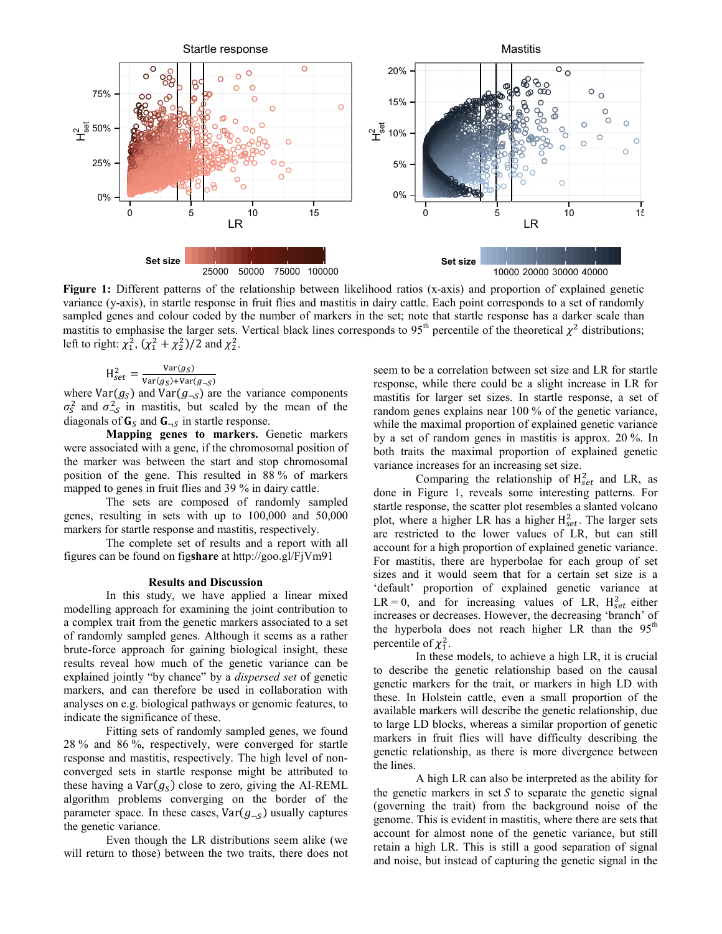

**Figure 1:** Different patterns of the relationship between likelihood ratios (x-axis) and proportion of explained genetic variance (y-axis), in startle response in fruit flies and mastitis in dairy cattle. Each point corresponds to a set of randomly sampled genes and colour coded by the number of markers in the set; note that startle response has a darker scale than mastitis to emphasise the larger sets. Vertical black lines corresponds to 95<sup>th</sup> percentile of the theoretical  $\chi^2$  distributions; left to right:  $\chi_1^2$ ,  $(\chi_1^2 + \chi_2^2)/2$  and  $\chi_2^2$ .

$$
H_{set}^2 = \frac{Var(g_S)}{Var(g_S) + Var(g_S)}
$$

where  $Var(g_S) + Var(g_{-S})$ <br>where  $Var(g_S)$  and  $Var(g_{-S})$  are the variance components  $\sigma_S^2$  and  $\sigma_{\neg S}^2$  in mastitis, but scaled by the mean of the diagonals of  $\mathbf{G}_s$  and  $\mathbf{G}_{-s}$  in startle response.

**Mapping genes to markers.** Genetic markers were associated with a gene, if the chromosomal position of the marker was between the start and stop chromosomal position of the gene. This resulted in 88 % of markers mapped to genes in fruit flies and 39 % in dairy cattle.

The sets are composed of randomly sampled genes, resulting in sets with up to 100,000 and 50,000 markers for startle response and mastitis, respectively.

The complete set of results and a report with all figures can be found on fig**share** at http://goo.gl/FjVm91

#### **Results and Discussion**

In this study, we have applied a linear mixed modelling approach for examining the joint contribution to a complex trait from the genetic markers associated to a set of randomly sampled genes. Although it seems as a rather brute-force approach for gaining biological insight, these results reveal how much of the genetic variance can be explained jointly "by chance" by a *dispersed set* of genetic markers, and can therefore be used in collaboration with analyses on e.g. biological pathways or genomic features, to indicate the significance of these.

Fitting sets of randomly sampled genes, we found 28 % and 86 %, respectively, were converged for startle response and mastitis, respectively. The high level of nonconverged sets in startle response might be attributed to these having a  $Var(g_S)$  close to zero, giving the AI-REML algorithm problems converging on the border of the parameter space. In these cases,  $Var(g_{\neg s})$  usually captures the genetic variance.

Even though the LR distributions seem alike (we will return to those) between the two traits, there does not seem to be a correlation between set size and LR for startle response, while there could be a slight increase in LR for mastitis for larger set sizes. In startle response, a set of random genes explains near 100 % of the genetic variance, while the maximal proportion of explained genetic variance by a set of random genes in mastitis is approx. 20 %. In both traits the maximal proportion of explained genetic variance increases for an increasing set size.

Comparing the relationship of  $H<sub>set</sub><sup>2</sup>$  and LR, as done in Figure 1, reveals some interesting patterns. For startle response, the scatter plot resembles a slanted volcano plot, where a higher LR has a higher  $H_{set}^2$ . The larger sets are restricted to the lower values of LR, but can still account for a high proportion of explained genetic variance. For mastitis, there are hyperbolae for each group of set sizes and it would seem that for a certain set size is a 'default' proportion of explained genetic variance at  $LR = 0$ , and for increasing values of LR,  $H_{set}^2$  either increases or decreases. However, the decreasing 'branch' of the hyperbola does not reach higher LR than the  $95<sup>th</sup>$ percentile of  $\chi_1^2$ .

In these models, to achieve a high LR, it is crucial to describe the genetic relationship based on the causal genetic markers for the trait, or markers in high LD with these. In Holstein cattle, even a small proportion of the available markers will describe the genetic relationship, due to large LD blocks, whereas a similar proportion of genetic markers in fruit flies will have difficulty describing the genetic relationship, as there is more divergence between the lines.

A high LR can also be interpreted as the ability for the genetic markers in set  $S$  to separate the genetic signal (governing the trait) from the background noise of the genome. This is evident in mastitis, where there are sets that account for almost none of the genetic variance, but still retain a high LR. This is still a good separation of signal and noise, but instead of capturing the genetic signal in the